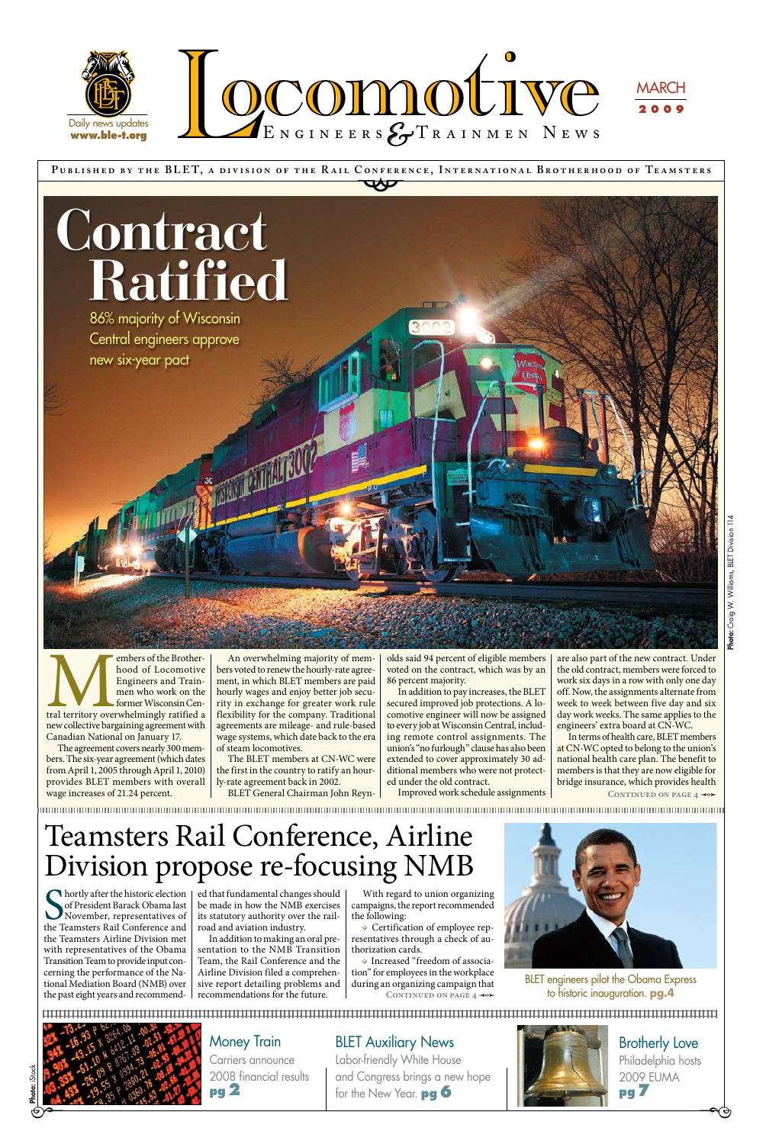**P ublished by the BLE T, a div ision of the R a il Conference, Internationa l Brotherhood of Te a msters** CONFERE

> $\overline{\phantom{a}}$ Brotherly Love Philadelphia hosts 2009 EUMA **pg 7**



Labor-friendly White House and Congress brings a new hope for the New Year. **pg 6**



Embers of the Brother-<br>
hood of Locomotive<br>
Engineers and Train-<br>
men who work on the<br>
former Wisconsin Central<br>
territory overwhelmingly ratified a<br>
new collective bargaining agreement with hood of Locomotive Engineers and Trainmen who work on the former Wisconsin Cennew collective bargaining agreement with Canadian National on January 17.

## Money Train

Carriers announce 2008 financial results **pg 2**

## **BLET Auxiliary News**

The agreement covers nearly 300 members. The six-year agreement (which dates from April 1, 2005 through April 1, 2010) provides BLET members with overall wage increases of 21.24 percent.

An overwhelming majority of members voted to renew the hourly-rate agreement, in which BLET members are paid hourly wages and enjoy better job security in exchange for greater work rule flexibility for the company. Traditional agreements are mileage- and rule-based wage systems, which date back to the era of steam locomotives.

In terms of health care, BLET members at CN-WC opted to belong to the union's national health care plan. The benefit to members is that they are now eligible for bridge insurance, which provides health CONTINUED ON PAGE  $4 \rightarrow \rightarrow$ 

The BLET members at CN-WC were the first in the country to ratify an hourly-rate agreement back in 2002.

BLET General Chairman John Reyn-

**Solution** Shortly after the historic election of President Barack Obama last<br>November, representatives of the Teamsters Rail Conference and of President Barack Obama last November, representatives of the Teamsters Rail Conference and the Teamsters Airline Division met with representatives of the Obama Transition Team to provide input concerning the performance of the National Mediation Board (NMB) over the past eight years and recommend-

olds said 94 percent of eligible members voted on the contract, which was by an 86 percent majority.

In addition to pay increases, the BLET secured improved job protections. A locomotive engineer will now be assigned to every job at Wisconsin Central, including remote control assignments. The union's "no furlough" clause has also been extended to cover approximately 30 additional members who were not protected under the old contract.



BLET engineers pilot the Obama Express **CONTINUED ON PAGE 4**  $\leftrightarrow$  to historic inauguration. **pg.4** 



Improved work schedule assignments

are also part of the new contract. Under the old contract, members were forced to work six days in a row with only one day off. Now, the assignments alternate from week to week between five day and six day work weeks. The same applies to the engineers' extra board at CN-WC.

ed that fundamental changes should be made in how the NMB exercises its statutory authority over the railroad and aviation industry.

In addition to making an oral presentation to the NMB Transition Team, the Rail Conference and the Airline Division filed a comprehensive report detailing problems and recommendations for the future.

With regard to union organizing campaigns, the report recommended the following:

**•** Certification of employee representatives through a check of authorization cards.

**•** Increased "freedom of association" for employees in the workplace during an organizing campaign that

## Teamsters Rail Conference, Airline Division propose re-focusing NMB

86% majority of Wisconsin Central engineers approve new six-year pact

# **Contract Ratified**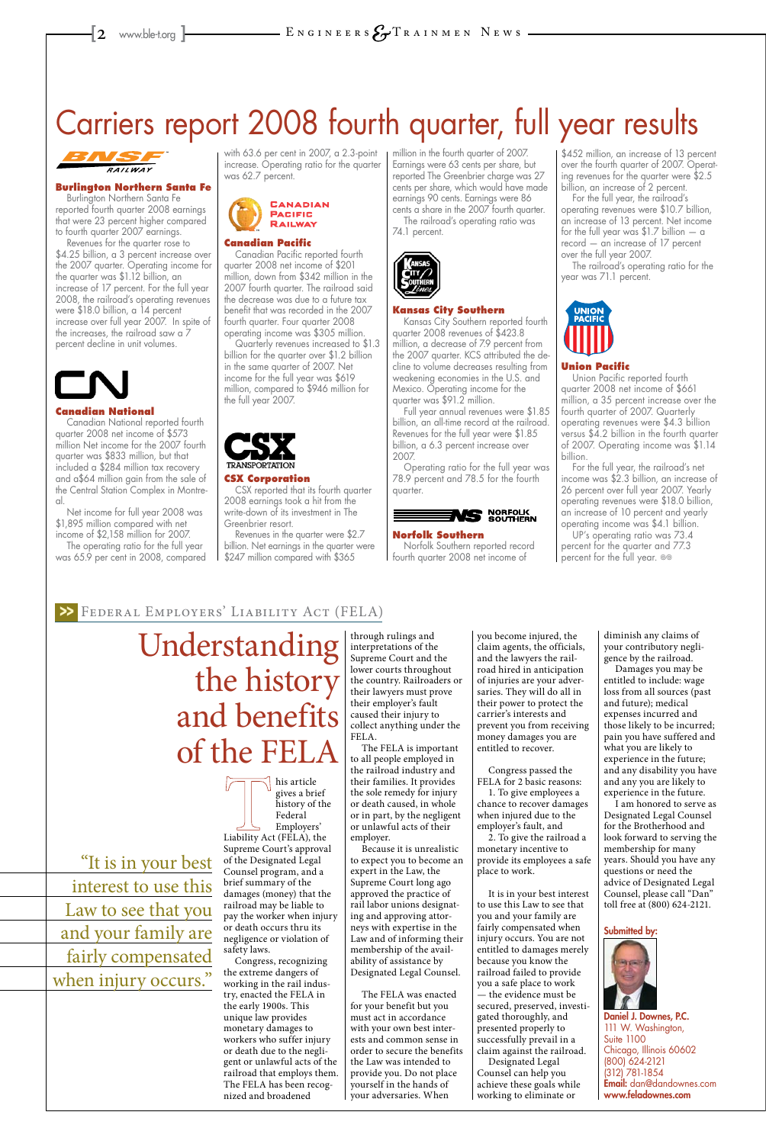# Carriers report 2008 fourth quarter, full year results



#### **Burlington Northern Santa Fe**

Burlington Northern Santa Fe reported fourth quarter 2008 earnings that were 23 percent higher compared to fourth quarter 2007 earnings.

Revenues for the quarter rose to \$4.25 billion, a 3 percent increase over the 2007 quarter. Operating income for the quarter was \$1.12 billion, an increase of 17 percent. For the full year 2008, the railroad's operating revenues were \$18.0 billion, a 14 percent increase over full year 2007. In spite of the increases, the railroad saw a 7 percent decline in unit volumes.



#### **Canadian National**

Canadian National reported fourth quarter 2008 net income of \$573 million Net income for the 2007 fourth quarter was \$833 million, but that included a \$284 million tax recovery and a\$64 million gain from the sale of the Central Station Complex in Montreal.

Net income for full year 2008 was \$1,895 million compared with net income of \$2,158 million for 2007.

The operating ratio for the full year was 65.9 per cent in 2008, compared with 63.6 per cent in 2007, a 2.3-point increase. Operating ratio for the quarter was 62.7 percent.



#### **Canadian Pacific**

Canadian Pacific reported fourth quarter 2008 net income of \$201 million, down from \$342 million in the 2007 fourth quarter. The railroad said the decrease was due to a future tax benefit that was recorded in the 2007 fourth quarter. Four quarter 2008 operating income was \$305 million.

Quarterly revenues increased to \$1.3 billion for the quarter over \$1.2 billion in the same quarter of 2007. Net income for the full year was \$619 million, compared to \$946 million for the full year 2007.



#### **CSX Corporation**

CSX reported that its fourth quarter 2008 earnings took a hit from the write-down of its investment in The Greenbrier resort.

Revenues in the quarter were \$2.7 billion. Net earnings in the quarter were \$247 million compared with \$365

UP's operating ratio was 73.4 percent for the quarter and 77.3 percent for the full year.  $\infty$ 

million in the fourth quarter of 2007. Earnings were 63 cents per share, but reported The Greenbrier charge was 27 cents per share, which would have made earnings 90 cents. Earnings were 86 cents a share in the 2007 fourth quarter.

The railroad's operating ratio was 74.1 percent.



#### **Kansas City Southern**

Kansas City Southern reported fourth quarter 2008 revenues of \$423.8 million, a decrease of 7.9 percent from the 2007 quarter. KCS attributed the decline to volume decreases resulting from weakening economies in the U.S. and Mexico. Operating income for the quarter was \$91.2 million.

Full year annual revenues were \$1.85 billion, an all-time record at the railroad. Revenues for the full year were \$1.85 billion, a 6.3 percent increase over 2007.

Operating ratio for the full year was 78.9 percent and 78.5 for the fourth quarter.



#### **Norfolk Southern**

Norfolk Southern reported record fourth quarter 2008 net income of

\$452 million, an increase of 13 percent over the fourth quarter of 2007. Operating revenues for the quarter were \$2.5 billion, an increase of 2 percent.

For the full year, the railroad's operating revenues were \$10.7 billion, an increase of 13 percent. Net income for the full year was  $$1.7$  billion  $-$  a record — an increase of 17 percent over the full year 2007.

The railroad's operating ratio for the year was 71.1 percent.



#### **Union Pacific**

Union Pacific reported fourth quarter 2008 net income of \$661 million, a 35 percent increase over the fourth quarter of 2007. Quarterly operating revenues were \$4.3 billion versus \$4.2 billion in the fourth quarter of 2007. Operating income was \$1.14 billion.

For the full year, the railroad's net income was \$2.3 billion, an increase of 26 percent over full year 2007. Yearly operating revenues were \$18.0 billion, an increase of 10 percent and yearly operating income was \$4.1 billion.

"It is in your best interest to use this Law to see that you and your family are fairly compensated when injury occurs."

his article gives a brief history of the Federal Employers' Liability Act (FELA), the Supreme Court's approval of the Designated Legal Counsel program, and a brief summary of the damages (money) that the railroad may be liable to pay the worker when injury or death occurs thru its negligence or violation of safety laws. Congress, recognizing the extreme dangers of working in the rail industry, enacted the FELA in the early 1900s. This unique law provides monetary damages to workers who suffer injury or death due to the negligent or unlawful acts of the railroad that employs them. The FELA has been recognized and broadened

through rulings and interpretations of the Supreme Court and the lower courts throughout the country. Railroaders or their lawyers must prove their employer's fault caused their injury to collect anything under the FELA.

The FELA is important to all people employed in the railroad industry and their families. It provides the sole remedy for injury or death caused, in whole or in part, by the negligent or unlawful acts of their employer. Because it is unrealistic to expect you to become an expert in the Law, the Supreme Court long ago approved the practice of rail labor unions designating and approving attorneys with expertise in the Law and of informing their membership of the availability of assistance by Designated Legal Counsel. The FELA was enacted for your benefit but you must act in accordance with your own best interests and common sense in order to secure the benefits the Law was intended to provide you. Do not place yourself in the hands of your adversaries. When

you become injured, the claim agents, the officials, and the lawyers the railroad hired in anticipation of injuries are your adversaries. They will do all in their power to protect the carrier's interests and prevent you from receiving money damages you are entitled to recover.

Congress passed the FELA for 2 basic reasons:

1. To give employees a chance to recover damages

when injured due to the employer's fault, and 2. To give the railroad a

monetary incentive to provide its employees a safe place to work.

It is in your best interest to use this Law to see that you and your family are fairly compensated when injury occurs. You are not entitled to damages merely because you know the railroad failed to provide you a safe place to work — the evidence must be secured, preserved, investigated thoroughly, and presented properly to successfully prevail in a claim against the railroad. Designated Legal Counsel can help you achieve these goals while working to eliminate or

diminish any claims of your contributory negligence by the railroad.

Damages you may be entitled to include: wage loss from all sources (past and future); medical expenses incurred and those likely to be incurred; pain you have suffered and what you are likely to experience in the future; and any disability you have and any you are likely to experience in the future.

I am honored to serve as Designated Legal Counsel for the Brotherhood and look forward to serving the membership for many years. Should you have any questions or need the advice of Designated Legal Counsel, please call "Dan" toll free at (800) 624-2121.

Submitted by:



Daniel J. Downes, P.C. 111 W. Washington, Suite 1100 Chicago, Illinois 60602 (800) 624-2121 (312) 781-1854 Email: dan@dandownes.com www.feladownes.com

Understanding the history and benefits of the FELA

## Federal Employers' Liability Act (FELA) >>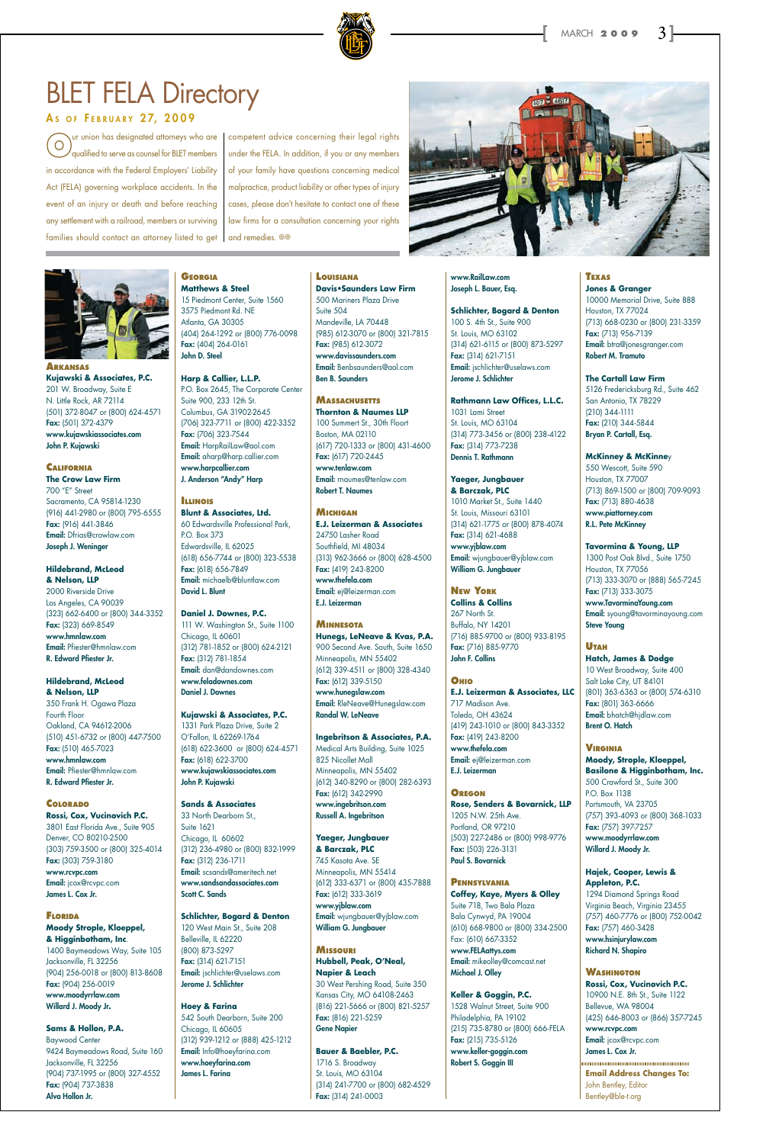

## **BLET FELA Directory**

### AS OF FEBRUARY 27, 2009

**Arkansas Kujawski & Associates, P.C.** 201 W. Broadway, Suite E N. Little Rock, AR 72114 (501) 372-8047 or (800) 624-4571 Fax: (501) 372-4379 www.kujawskiassociates.com John P. Kujawski

#### **California The Crow Law Firm** 700 "E" Street

Sacramento, CA 95814-1230 (916) 441-2980 or (800) 795-6555 Fax: (916) 441-3846 Email: Dfrias@crowlaw.com Joseph J. Weninger

#### **Hildebrand, McLeod & Nelson, LLP**

2000 Riverside Drive Los Angeles, CA 90039 (323) 662-6400 or (800) 344-3352 Fax: (323) 669-8549 www.hmnlaw.com Email: Pfiester@hmnlaw.com R. Edward Pfiester Jr.

#### **Hildebrand, McLeod & Nelson, LLP**

350 Frank H. Ogawa Plaza Fourth Floor Oakland, CA 94612-2006 (510) 451-6732 or (800) 447-7500 Fax: (510) 465-7023 www.hmnlaw.com Email: Pfiester@hmnlaw.com R. Edward Pfiester Jr.

## **Colorado Rossi, Cox, Vucinovich P.C.**

3801 East Florida Ave., Suite 905 Denver, CO 80210-2500

(303) 759-3500 or (800) 325-4014 Fax: (303) 759-3180 www.rcvpc.com Email: jcox@rcvpc.com James L. Cox Jr.

#### **Florida Moody Strople, Kloeppel, & Higginbotham, Inc**. 1400 Baymeadows Way, Suite 105

Jacksonville, FL 32256 (904) 256-0018 or (800) 813-8608 Fax: (904) 256-0019 www.moodyrrlaw.com Willard J. Moody Jr**.**

#### **Sams & Hollon, P.A.**

Baywood Center 9424 Baymeadows Road, Suite 160 Jacksonville, FL 32256 (904) 737-1995 or (800) 327-4552 Fax: (904) 737-3838 Alva Hollon Jr.

## **Georgia**

**Matthews & Steel** 15 Piedmont Center, Suite 1560 3575 Piedmont Rd. NE Atlanta, GA 30305 (404) 264-1292 or (800) 776-0098 Fax: (404) 264-0161 John D. Steel

**Harp & Callier, L.L.P.** P.O. Box 2645, The Corporate Center Suite 900, 233 12th St. Columbus, GA 31902-2645 (706) 323-7711 or (800) 422-3352 Fax: (706) 323-7544 Email: HarpRailLaw@aol.com Email: aharp@harp.callier.com www.harpcallier.com J. Anderson "Andy" Harp

#### **Illinois Blunt & Associates, Ltd.**

60 Edwardsville Professional Park, P.O. Box 373 Edwardsville, IL 62025 (618) 656-7744 or (800) 323-5538 Fax: (618) 656-7849 Email: michaelb@bluntlaw.com David L. Blunt

**Daniel J. Downes, P.C.**  111 W. Washington St., Suite 1100 Chicago, IL 60601 (312) 781-1852 or (800) 624-2121 Fax: (312) 781-1854 Email: dan@dandownes.com www.feladownes.com Daniel J. Downes

#### **Kujawski & Associates, P.C.**

1331 Park Plaza Drive, Suite 2 O'Fallon, IL 62269-1764 (618) 622-3600 or (800) 624-4571 Fax: (618) 622-3700 www.kujawskiassociates.com John P. Kujawski

**Sands & Associates** 33 North Dearborn St., Suite 1621 Chicago, IL 60602 (312) 236-4980 or (800) 832-1999 Fax: (312) 236-1711 Email: scsands@ameritech.net www.sandsandassociates.com Scott C. Sands

**Schlichter, Bogard & Denton** 120 West Main St., Suite 208 Belleville, IL 62220 (800) 873-5297 Fax: (314) 621-7151 Email: jschlichter@uselaws.com Jerome J. Schlichter

**Hoey & Farina**  542 South Dearborn, Suite 200 Chicago, IL 60605 (312) 939-1212 or (888) 425-1212 Email: Info@hoeyfarina.com www.hoeyfarina.com James L. Farina

#### **Louisiana**

**Davis•Saunders Law Firm** 500 Mariners Plaza Drive Suite 504 Mandeville, LA 70448 (985) 612-3070 or (800) 321-7815 Fax: (985) 612-3072 www.davissaunders.com Email: Benbsaunders@aol.com Ben B. Saunders

#### **Massachusetts Thornton & Naumes LLP**

100 Summert St., 30th Floort Boston, MA 02110 (617) 720-1333 or (800) 431-4600 Fax: (617) 720-2445 www.tenlaw.com Email: rnaumes@tenlaw.com Robert T. Naumes

#### **Michigan**

**E.J. Leizerman & Associates** 24750 Lasher Road Southfield, MI 48034 (313) 962-3666 or (800) 628-4500 Fax: (419) 243-8200 www.thefela.com Email: ej@leizerman.com E.J. Leizerman

#### **Minnesota**

**Hunegs, LeNeave & Kvas, P.A.** 900 Second Ave. South, Suite 1650 Minneapolis, MN 55402 (612) 339-4511 or (800) 328-4340 Fax: (612) 339-5150 www.hunegslaw.com Email: RleNeave@Hunegslaw.com Randal W. LeNeave

ur union has designated attorneys who are  $\bigcirc$ qualified to serve as counsel for BLET members in accordance with the Federal Employers' Liability Act (FELA) governing workplace accidents. In the event of an injury or death and before reaching any settlement with a railroad, members or surviving families should contact an attorney listed to get  $\, \vert \,$  and remedies.  $\, {}^{\circ}\! \circ \,$ 

> **Ingebritson & Associates, P.A.** Medical Arts Building, Suite 1025 825 Nicollet Mall Minneapolis, MN 55402 (612) 340-8290 or (800) 282-6393 Fax: (612) 342-2990 www.ingebritson.com Russell A. Ingebritson

#### **Yaeger, Jungbauer**

**& Barczak, PLC** 745 Kasota Ave. SE Minneapolis, MN 55414 (612) 333-6371 or (800) 435-7888 Fax: (612) 333-3619 www.yjblaw.com Email: wjungbauer@yjblaw.com William G. Jungbauer

**Missouri Hubbell, Peak, O'Neal, Napier & Leach** 30 West Pershing Road, Suite 350 Kansas City, MO 64108-2463 (816) 221-5666 or (800) 821-5257 Fax: (816) 221-5259 Gene Napier

**Bauer & Baebler, P.C.** 1716 S. Broadway St. Louis, MO 63104 (314) 241-7700 or (800) 682-4529 Fax: (314) 241-0003

#### www.RailLaw.com Joseph L. Bauer, Esq.

**Schlichter, Bogard & Denton** 100 S. 4th St., Suite 900 St. Louis, MO 63102 (314) 621-6115 or (800) 873-5297 Fax: (314) 621-7151 Email: jschlichter@uselaws.com Jerome J. Schlichter

**Rathmann Law Offices, L.L.C.** 1031 Lami Street St. Louis, MO 63104 (314) 773-3456 or (800) 238-4122 Fax: (314) 773-7238 Dennis T. Rathmann

### **Yaeger, Jungbauer**

**& Barczak, PLC** 1010 Market St., Suite 1440 St. Louis, Missouri 63101 (314) 621-1775 or (800) 878-4074 Fax: (314) 621-4688 www.yjblaw.com Email: wjungbauer@yjblaw.com William G. Jungbauer

#### **New York**

**Collins & Collins** 267 North St. Buffalo, NY 14201 (716) 885-9700 or (800) 933-8195 Fax: (716) 885-9770 John F. Collins

#### **Ohio**

**E.J. Leizerman & Associates, LLC** 717 Madison Ave. Toledo, OH 43624 (419) 243-1010 or (800) 843-3352 Fax: (419) 243-8200 www.thefela.com Email: ej@leizerman.com E.J. Leizerman

#### **Oregon**

**Rose, Senders & Bovarnick, LLP** 1205 N.W. 25th Ave. Portland, OR 97210 (503) 227-2486 or (800) 998-9776

Fax: (503) 226-3131 Paul S. Bovarnick

**Pennsylvania Coffey, Kaye, Myers & Olley** Suite 718, Two Bala Plaza Bala Cynwyd, PA 19004 (610) 668-9800 or (800) 334-2500

Fax: (610) 667-3352 www.FELAattys.com Email: mikeolley@comcast.net Michael J. Olley

**Keller & Goggin, P.C.** 1528 Walnut Street, Suite 900 Philadelphia, PA 19102 (215) 735-8780 or (800) 666-FELA Fax: (215) 735-5126 www.keller-goggin.com Robert S. Goggin III

## **Texas**

**Jones & Granger** 10000 Memorial Drive, Suite 888 Houston, TX 77024 (713) 668-0230 or (800) 231-3359 Fax: (713) 956-7139 Email: btra@jonesgranger.com Robert M. Tramuto

#### **The Cartall Law Firm**

5126 Fredericksburg Rd., Suite 462 San Antonio, TX 78229 (210) 344-1111 Fax: (210) 344-5844 Bryan P. Cartall, Esq.

### **McKinney & McKinne**y

550 Wescott, Suite 590 Houston, TX 77007 (713) 869-1500 or (800) 709-9093 Fax: (713) 880-4638 www.piattorney.com R.L. Pete McKinney

#### **Tavormina & Young, LLP**

1300 Post Oak Blvd., Suite 1750 Houston, TX 77056 (713) 333-3070 or (888) 565-7245 Fax: (713) 333-3075 www.TavorminaYoung.com Email: syoung@tavorminayoung.com Steve Young

#### **Utah Hatch, James & Dodge**

10 West Broadway, Suite 400 Salt Lake City, UT 84101 (801) 363-6363 or (800) 574-6310 Fax: (801) 363-6666 Email: bhatch@hjdlaw.com Brent O. Hatch

#### **Virginia**

**Moody, Strople, Kloeppel, Basilone & Higginbotham, Inc.**  500 Crawford St., Suite 300 P.O. Box 1138 Portsmouth, VA 23705 (757) 393-4093 or (800) 368-1033 Fax: (757) 397-7257 www.moodyrrlaw.com

Willard J. Moody Jr.

**Hajek, Cooper, Lewis & Appleton, P.C.** 1294 Diamond Springs Road Virginia Beach, Virginia 23455 (757) 460-7776 or (800) 752-0042 Fax: (757) 460-3428 www.hsinjurylaw.com Richard N. Shapiro

**Washington Rossi, Cox, Vucinovich P.C.**  10900 N.E. 8th St., Suite 1122 Bellevue, WA 98004 (425) 646-8003 or (866) 357-7245 www.rcvpc.com Email: jcox@rcvpc.com James L. Cox Jr.

**Email Address Changes To:**  John Bentley, Editor Bentley@ble-t.org

competent advice concerning their legal rights under the FELA. In addition, if you or any members of your family have questions concerning medical malpractice, product liability or other types of injury cases, please don't hesitate to contact one of these law firms for a consultation concerning your rights



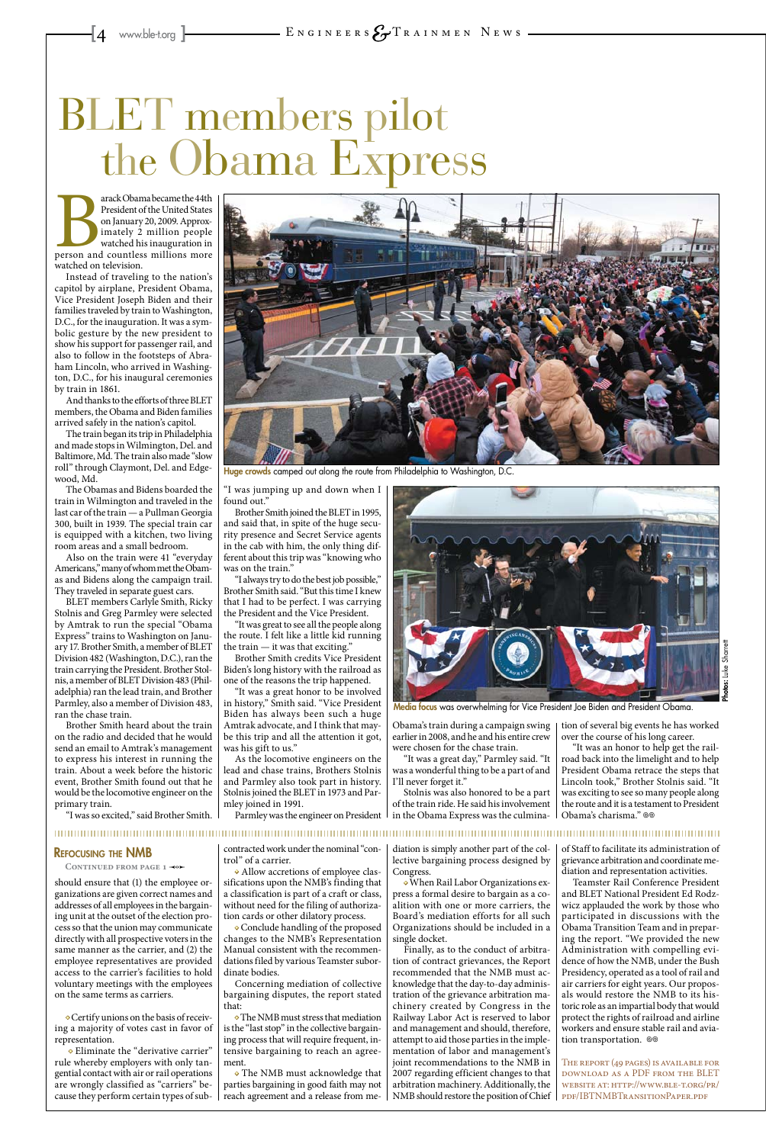should ensure that (1) the employee organizations are given correct names and addresses of all employees in the bargaining unit at the outset of the election process so that the union may communicate directly with all prospective voters in the same manner as the carrier, and (2) the employee representatives are provided access to the carrier's facilities to hold voluntary meetings with the employees on the same terms as carriers.

**•** Certify unions on the basis of receiving a majority of votes cast in favor of representation.

**•** Eliminate the "derivative carrier" rule whereby employers with only tangential contact with air or rail operations are wrongly classified as "carriers" because they perform certain types of sub-

contracted work under the nominal "control" of a carrier.

**•** Allow accretions of employee classifications upon the NMB's finding that a classification is part of a craft or class, without need for the filing of authorization cards or other dilatory process.

**•** Conclude handling of the proposed changes to the NMB's Representation Manual consistent with the recommendations filed by various Teamster subordinate bodies.

Concerning mediation of collective bargaining disputes, the report stated that:

Teamster Rail Conference President and BLET National President Ed Rodzwicz applauded the work by those who participated in discussions with the Obama Transition Team and in preparing the report. "We provided the new Administration with compelling evidence of how the NMB, under the Bush Presidency, operated as a tool of rail and air carriers for eight years. Our proposals would restore the NMB to its historic role as an impartial body that would protect the rights of railroad and airline workers and ensure stable rail and aviation transportation. @

**•** The NMB must stress that mediation is the "last stop" in the collective bargaining process that will require frequent, intensive bargaining to reach an agreement.

**•** The NMB must acknowledge that parties bargaining in good faith may not reach agreement and a release from me-

diation is simply another part of the collective bargaining process designed by Congress.

arack Obama became the 44th<br>
President of the United States<br>
on January 20, 2009. Approx-<br>
imately 2 million people<br>
watched his inauguration in<br>
person and countless millions more<br>
watched on television President of the United States on January 20, 2009. Approximately 2 million people watched his inauguration in watched on television.

> **•** When Rail Labor Organizations express a formal desire to bargain as a coalition with one or more carriers, the Board's mediation efforts for all such Organizations should be included in a single docket.

Finally, as to the conduct of arbitration of contract grievances, the Report recommended that the NMB must acknowledge that the day-to-day administration of the grievance arbitration machinery created by Congress in the Railway Labor Act is reserved to labor and management and should, therefore, attempt to aid those parties in the implementation of labor and management's joint recommendations to the NMB in 2007 regarding efficient changes to that arbitration machinery. Additionally, the NMB should restore the position of Chief

of Staff to facilitate its administration of grievance arbitration and coordinate mediation and representation activities.

"It was great to see all the people along the route. I felt like a little kid running the train  $-$  it was that exciting."

> The report (49 pages) is available for download as a PDF from the BLET website at: http://www.ble-t.org/pr/ pdf/IBTNMBTransitionPaper.pdf

Parmley was the engineer on President  $\perp$  in the Obama Express was the culmina-Stolnis was also honored to be a part of the train ride. He said his involvement

"It was an honor to help get the railroad back into the limelight and to help President Obama retrace the steps that Lincoln took," Brother Stolnis said. "It was exciting to see so many people along the route and it is a testament to President Obama's charisma." ®®

Instead of traveling to the nation's capitol by airplane, President Obama, Vice President Joseph Biden and their families traveled by train to Washington, D.C., for the inauguration. It was a symbolic gesture by the new president to show his support for passenger rail, and also to follow in the footsteps of Abraham Lincoln, who arrived in Washington, D.C., for his inaugural ceremonies by train in 1861.

And thanks to the efforts of three BLET members, the Obama and Biden families arrived safely in the nation's capitol.

The train began its trip in Philadelphia and made stops in Wilmington, Del. and Baltimore, Md. The train also made "slow roll" through Claymont, Del. and Edgewood, Md.

The Obamas and Bidens boarded the train in Wilmington and traveled in the last car of the train — a Pullman Georgia 300, built in 1939. The special train car is equipped with a kitchen, two living room areas and a small bedroom.

Also on the train were 41 "everyday Americans," many of whom met the Obamas and Bidens along the campaign trail. They traveled in separate guest cars.

BLET members Carlyle Smith, Ricky Stolnis and Greg Parmley were selected by Amtrak to run the special "Obama Express" trains to Washington on January 17. Brother Smith, a member of BLET Division 482 (Washington, D.C.), ran the train carrying the President. Brother Stolnis, a member of BLET Division 483 (Philadelphia) ran the lead train, and Brother Parmley, also a member of Division 483, ran the chase train.

Brother Smith heard about the train on the radio and decided that he would send an email to Amtrak's management to express his interest in running the train. About a week before the historic event, Brother Smith found out that he would be the locomotive engineer on the primary train.

"I was so excited," said Brother Smith.



Huge crowds camped out along the route from Philadelphia to Washington, D.C.

"I was jumping up and down when I found out."

Brother Smith joined the BLET in 1995, and said that, in spite of the huge security presence and Secret Service agents in the cab with him, the only thing different about this trip was "knowing who was on the train."

"I always try to do the best job possible," Brother Smith said. "But this time I knew that I had to be perfect. I was carrying the President and the Vice President.

Brother Smith credits Vice President Biden's long history with the railroad as one of the reasons the trip happened.

"It was a great honor to be involved in history," Smith said. "Vice President Biden has always been such a huge Amtrak advocate, and I think that maybe this trip and all the attention it got, was his gift to us."

As the locomotive engineers on the lead and chase trains, Brothers Stolnis and Parmley also took part in history. Stolnis joined the BLET in 1973 and Parmley joined in 1991.

Obama's train during a campaign swing earlier in 2008, and he and his entire crew were chosen for the chase train.

"It was a great day," Parmley said. "It was a wonderful thing to be a part of and I'll never forget it."

tion of several big events he has worked over the course of his long career.

### Refocusing the NMB

CONTINUED FROM PAGE 1 -0

# BLET members pilot the Obama Express



Media focus was overwhelming for Vice President Joe Biden and President Obama.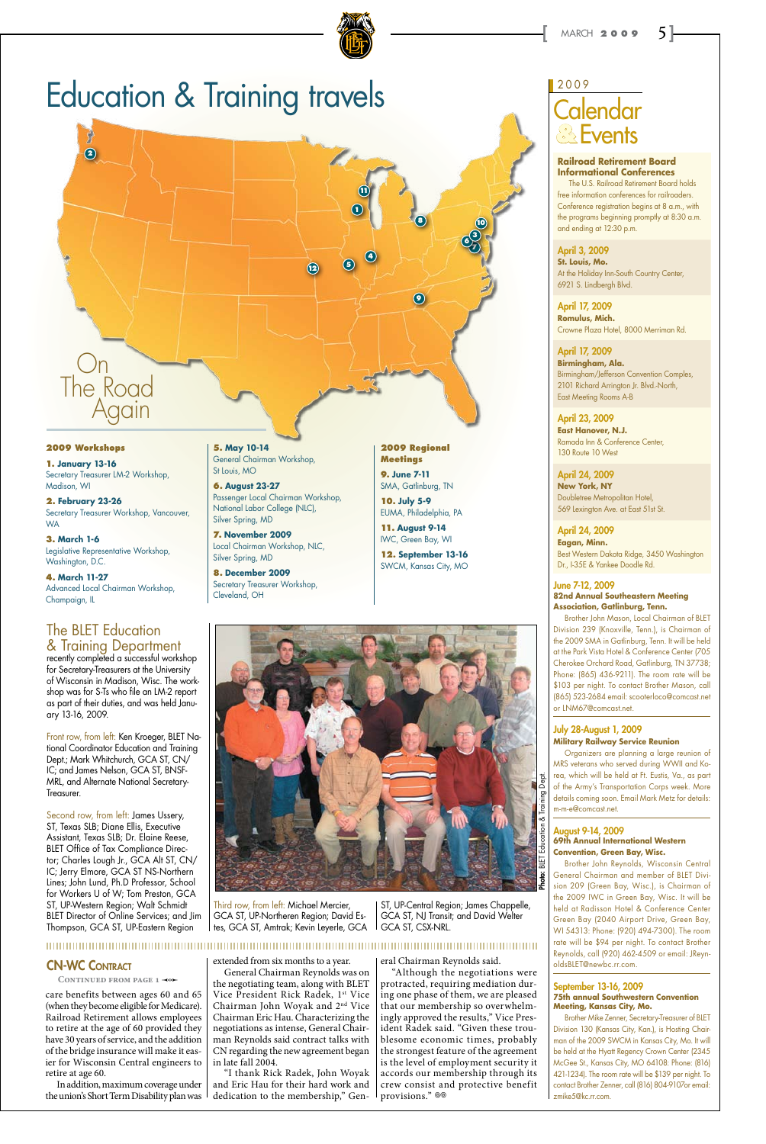

## Calendar **Events** 2009 **&**

# Education & Training travels

**2. February 23-26** Secretary Treasurer Workshop, Vancouver, **WA** 

#### **2009 Workshops**

**1. January 13-16** Secretary Treasurer LM-2 Workshop, Madison, WI

**3. March 1-6** Legislative Representative Workshop, Washington, D.C.

**4. March 11-27** Advanced Local Chairman Workshop, Champaign, IL

**5. May 10-14** General Chairman Workshop, St Louis, MO

**6. August 23-27** Passenger Local Chairman Workshop, National Labor College (NLC), Silver Spring, MD

**7. November 2009** Local Chairman Workshop, NLC, Silver Spring, MD

**8. December 2009** Secretary Treasurer Workshop, Cleveland, OH

**2009 Regional Meetings**

**9. June 7-11** SMA, Gatlinburg, TN

**10. July 5-9** EUMA, Philadelphia, PA

**11. August 9-14** IWC, Green Bay, WI

**12. September 13-16** SWCM, Kansas City, MO



**7**

**10**

## The BLET Education & Training Department

recently completed a successful workshop for Secretary-Treasurers at the University of Wisconsin in Madison, Wisc. The workshop was for S-Ts who file an LM-2 report as part of their duties, and was held January 13-16, 2009.

Front row, from left: Ken Kroeger, BLET National Coordinator Education and Training Dept.; Mark Whitchurch, GCA ST, CN/ IC; and James Nelson, GCA ST, BNSF-MRL, and Alternate National Secretary-Treasurer.

April 23, 2009 **East Hanover, N.J.** Ramada Inn & Conference Center, 130 Route 10 West

Second row, from left: James Ussery, ST, Texas SLB; Diane Ellis, Executive Assistant, Texas SLB; Dr. Elaine Reese, BLET Office of Tax Compliance Director; Charles Lough Jr., GCA Alt ST, CN/ IC; Jerry Elmore, GCA ST NS-Northern Lines; John Lund, Ph.D Professor, School for Workers U of W; Tom Preston, GCA ST, UP-Western Region; Walt Schmidt BLET Director of Online Services; and Jim Thompson, GCA ST, UP-Eastern Region

August 9-14, 2009 **69th Annual International West** 

Third row, from left: Michael Mercier, GCA ST, UP-Northeren Region; David Estes, GCA ST, Amtrak; Kevin Leyerle, GCA

ST, UP-Central Region; James Chappelle, GCA ST, NJ Transit; and David Welter GCA ST, CSX-NRL.

## **CN-WC CONTRACT**

CONTINUED FROM PAGE 1 <0

#### **Railroad Retirement Board Informational Conferences**

The U.S. Railroad Retirement Board holds free information conferences for railroaders. Conference registration begins at 8 a.m., with the programs beginning promptly at 8:30 a.m. and ending at 12:30 p.m.

#### April 3, 2009

**St. Louis, Mo.** At the Holiday Inn-South Country Center, 6921 S. Lindbergh Blvd.

April 17, 2009 **Romulus, Mich.** Crowne Plaza Hotel, 8000 Merriman Rd.

#### April 17, 2009 **Birmingham, Ala.**

Birmingham/Jefferson Convention Comples, 2101 Richard Arrington Jr. Blvd.-North, East Meeting Rooms A-B

April 24, 2009 **New York, NY** Doubletree Metropolitan Hotel, 569 Lexington Ave. at East 51st St.



"Although the negotiations were protracted, requiring mediation during one phase of them, we are pleased that our membership so overwhelmingly approved the results," Vice President Radek said. "Given these troublesome economic times, probably the strongest feature of the agreement is the level of employment security it accords our membership through its crew consist and protective benefit provisions."  $\otimes$ 

April 24, 2009 **Eagan, Minn.** Best Western Dakota Ridge, 3450 Washington Dr., I-35E & Yankee Doodle Rd.

#### June 7-12, 2009 **82nd Annual Southeastern Meeting Association, Gatlinburg, Tenn.**

Brother John Mason, Local Chairman of BLET Division 239 (Knoxville, Tenn.), is Chairman of the 2009 SMA in Gatlinburg, Tenn. It will be held at the Park Vista Hotel & Conference Center (705 Cherokee Orchard Road, Gatlinburg, TN 37738; Phone: (865) 436-9211). The room rate will be \$103 per night. To contact Brother Mason, call (865) 523-2684 email: scooterloco@comcast.net or LNM67@comcast.net.

#### July 28-August 1, 2009 **Military Railway Service Reunion**

Organizers are planning a large reunion of MRS veterans who served during WWII and Korea, which will be held at Ft. Eustis, Va., as part of the Army's Transportation Corps week. More details coming soon. Email Mark Metz for details: m-m-e@comcast.net.

## **Convention, Green Bay, Wisc.**

Brother John Reynolds, Wisconsin Central General Chairman and member of BLET Division 209 (Green Bay, Wisc.), is Chairman of the 2009 IWC in Green Bay, Wisc. It will be held at Radisson Hotel & Conference Center Green Bay (2040 Airport Drive, Green Bay, WI 54313: Phone: (920) 494-7300). The room rate will be \$94 per night. To contact Brother Reynolds, call (920) 462-4509 or email: JReynoldsBLET@newbc.rr.com.

#### September 13-16, 2009 **75th annual Southwestern Convention Meeting, Kansas City, Mo.**

Brother Mike Zenner, Secretary-Treasurer of BLET Division 130 (Kansas City, Kan.), is Hosting Chairman of the 2009 SWCM in Kansas City, Mo. It will be held at the Hyatt Regency Crown Center (2345 McGee St., Kansas City, MO 64108: Phone: (816) 421-1234). The room rate will be \$139 per night. To contact Brother Zenner, call (816) 804-9107or email: zmike5@kc.rr.com.



**3**

care benefits between ages 60 and 65 (when they become eligible for Medicare). Railroad Retirement allows employees to retire at the age of 60 provided they have 30 years of service, and the addition of the bridge insurance will make it easier for Wisconsin Central engineers to retire at age 60.

In addition, maximum coverage under the union's Short Term Disability plan was extended from six months to a year.

General Chairman Reynolds was on the negotiating team, along with BLET Vice President Rick Radek, 1st Vice Chairman John Woyak and 2nd Vice Chairman Eric Hau. Characterizing the negotiations as intense, General Chairman Reynolds said contract talks with CN regarding the new agreement began in late fall 2004.

"I thank Rick Radek, John Woyak and Eric Hau for their hard work and dedication to the membership," Gen-

eral Chairman Reynolds said.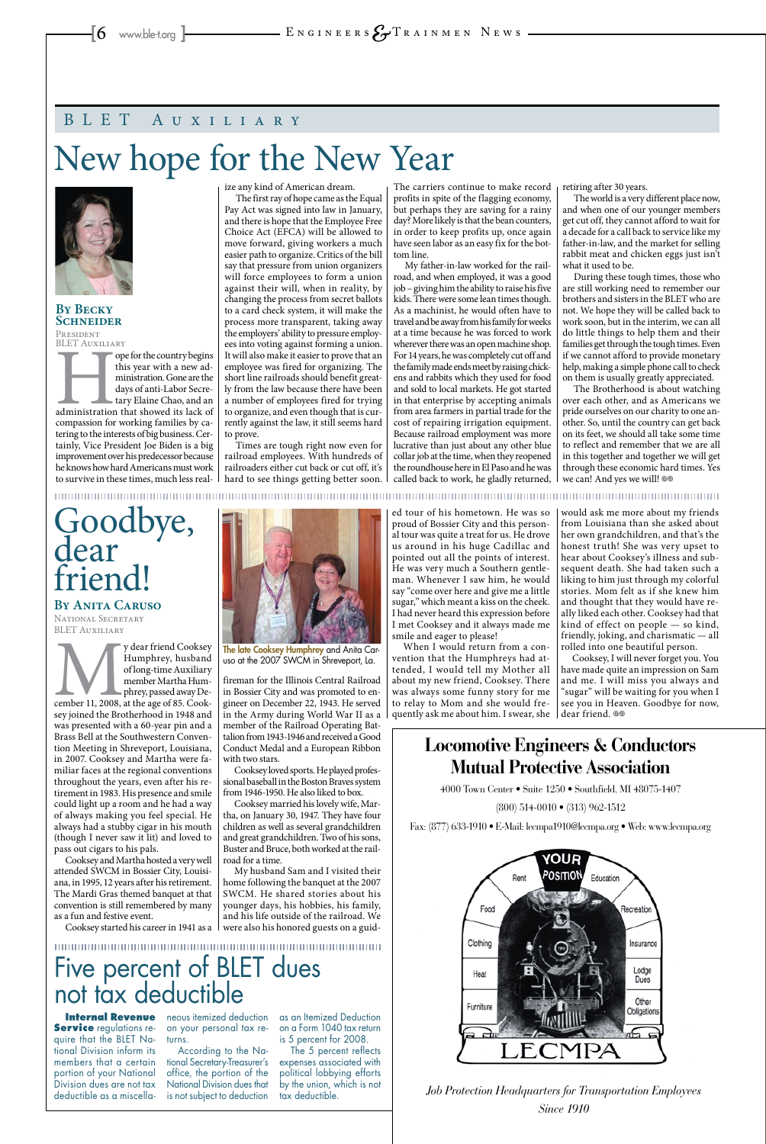**By Becky Schneider PRESIDENT** 

BLET Auxiliary FOREFT FOREED FOR THE COUNTY BEGINSTONED TO THE ORDER THE MANUSCRIPT OF A ministration. Gone are the days of anti-Labor Secretary Elaine Chao, and an administration that showed its lack of compassion for working families b this year with a new administration. Gone are the days of anti-Labor Secretary Elaine Chao, and an compassion for working families by catering to the interests of big business. Certainly, Vice President Joe Biden is a big improvement over his predecessor because he knows how hard Americans must work to survive in these times, much less real-

ize any kind of American dream.

The first ray of hope came as the Equal Pay Act was signed into law in January, and there is hope that the Employee Free Choice Act (EFCA) will be allowed to move forward, giving workers a much easier path to organize. Critics of the bill say that pressure from union organizers will force employees to form a union against their will, when in reality, by changing the process from secret ballots to a card check system, it will make the process more transparent, taking away the employers' ability to pressure employees into voting against forming a union. It will also make it easier to prove that an employee was fired for organizing. The short line railroads should benefit greatly from the law because there have been a number of employees fired for trying to organize, and even though that is currently against the law, it still seems hard to prove.

Times are tough right now even for railroad employees. With hundreds of railroaders either cut back or cut off, it's hard to see things getting better soon.

The Brotherhood is about watching over each other, and as Americans we pride ourselves on our charity to one another. So, until the country can get back on its feet, we should all take some time to reflect and remember that we are all in this together and together we will get through these economic hard times. Yes we can! And yes we will! @

The carriers continue to make record profits in spite of the flagging economy, but perhaps they are saving for a rainy day? More likely is that the bean counters, in order to keep profits up, once again have seen labor as an easy fix for the bottom line.

**Service** regulations require that the BLET National Division inform its members that a certain portion of your National Division dues are not tax deductible as a miscella-

**Internal Revenue** neous itemized deduction on your personal tax returns.

# Goodbye, dear rien

My father-in-law worked for the railroad, and when employed, it was a good job – giving him the ability to raise his five kids. There were some lean times though. As a machinist, he would often have to travel and be away from his family for weeks at a time because he was forced to work wherever there was an open machine shop. For 14 years, he was completely cut off and the family made ends meet by raising chickens and rabbits which they used for food and sold to local markets. He got started in that enterprise by accepting animals from area farmers in partial trade for the cost of repairing irrigation equipment. Because railroad employment was more lucrative than just about any other blue collar job at the time, when they reopened the roundhouse here in El Paso and he was called back to work, he gladly returned,

y dear friend Cooksey<br>
Humphrey, husband<br>
of long-time Auxiliary<br>
member Martha Humphrey, passed away De-<br>
cember 11, 2008, at the age of 85. Cook-<br>
sev joined the Brotherhood in 1948 and Humphrey, husband of long-time Auxiliary member Martha Humphrey, passed away Desey joined the Brotherhood in 1948 and was presented with a 60-year pin and a Brass Bell at the Southwestern Convention Meeting in Shreveport, Louisiana, in 2007. Cooksey and Martha were familiar faces at the regional conventions throughout the years, even after his retirement in 1983. His presence and smile could light up a room and he had a way of always making you feel special. He always had a stubby cigar in his mouth (though I never saw it lit) and loved to

retiring after 30 years.

The world is a very different place now, and when one of our younger members get cut off, they cannot afford to wait for a decade for a call back to service like my father-in-law, and the market for selling rabbit meat and chicken eggs just isn't what it used to be.

During these tough times, those who are still working need to remember our brothers and sisters in the BLET who are not. We hope they will be called back to work soon, but in the interim, we can all do little things to help them and their families get through the tough times. Even if we cannot afford to provide monetary help, making a simple phone call to check on them is usually greatly appreciated.

Cooksey, I will never forget you. You have made quite an impression on Sam and me. I will miss you always and "sugar" will be waiting for you when I see you in Heaven. Goodbye for now, dear friend. <sup>oo</sup>

# New hope for the New Year



## BLET Auxiliary

Five percent of BLET dues not tax deductible

> According to the National Secretary-Treasurer's office, the portion of the National Division dues that is not subject to deduction

as an Itemized Deduction on a Form 1040 tax return is 5 percent for 2008. The 5 percent reflects expenses associated with political lobbying efforts by the union, which is not tax deductible.



**By Anita Caruso**  NATIONAL SECRETARY BLET Auxiliary

pass out cigars to his pals.

Cooksey and Martha hosted a very well attended SWCM in Bossier City, Louisiana, in 1995, 12 years after his retirement. The Mardi Gras themed banquet at that convention is still remembered by many as a fun and festive event. Cooksey started his career in 1941 as a

fireman for the Illinois Central Railroad in Bossier City and was promoted to engineer on December 22, 1943. He served in the Army during World War II as a member of the Railroad Operating Battalion from 1943-1946 and received a Good Conduct Medal and a European Ribbon with two stars.

Cooksey loved sports. He played professional baseball in the Boston Braves system from 1946-1950. He also liked to box.

Cooksey married his lovely wife, Martha, on January 30, 1947. They have four children as well as several grandchildren and great grandchildren. Two of his sons, Buster and Bruce, both worked at the railroad for a time. My husband Sam and I visited their home following the banquet at the 2007 SWCM. He shared stories about his younger days, his hobbies, his family, and his life outside of the railroad. We were also his honored guests on a guid-

ed tour of his hometown. He was so proud of Bossier City and this personal tour was quite a treat for us. He drove us around in his huge Cadillac and pointed out all the points of interest. He was very much a Southern gentleman. Whenever I saw him, he would say "come over here and give me a little sugar," which meant a kiss on the cheek. I had never heard this expression before I met Cooksey and it always made me smile and eager to please!

When I would return from a convention that the Humphreys had attended, I would tell my Mother all about my new friend, Cooksey. There was always some funny story for me to relay to Mom and she would frequently ask me about him. I swear, she

would ask me more about my friends from Louisiana than she asked about her own grandchildren, and that's the honest truth! She was very upset to hear about Cooksey's illness and subsequent death. She had taken such a liking to him just through my colorful stories. Mom felt as if she knew him and thought that they would have really liked each other. Cooksey had that kind of effect on people — so kind, friendly, joking, and charismatic — all rolled into one beautiful person.

## **Locomotive Engineers & Conductors Mutual Protective Association**

4000 Town Center • Suite 1250 • Southfield, MI 48075-1407

(800) 514-0010 • (313) 962-1512

Fax: (877) 633-1910 • E-Mail: lecmpa1910@lecmpa.org • Web: www.lecmpa.org

*Job Protection Headquarters for Transportation Employees Since 1910*



The late Cooksey Humphrey and Anita Caruso at the 2007 SWCM in Shreveport, La.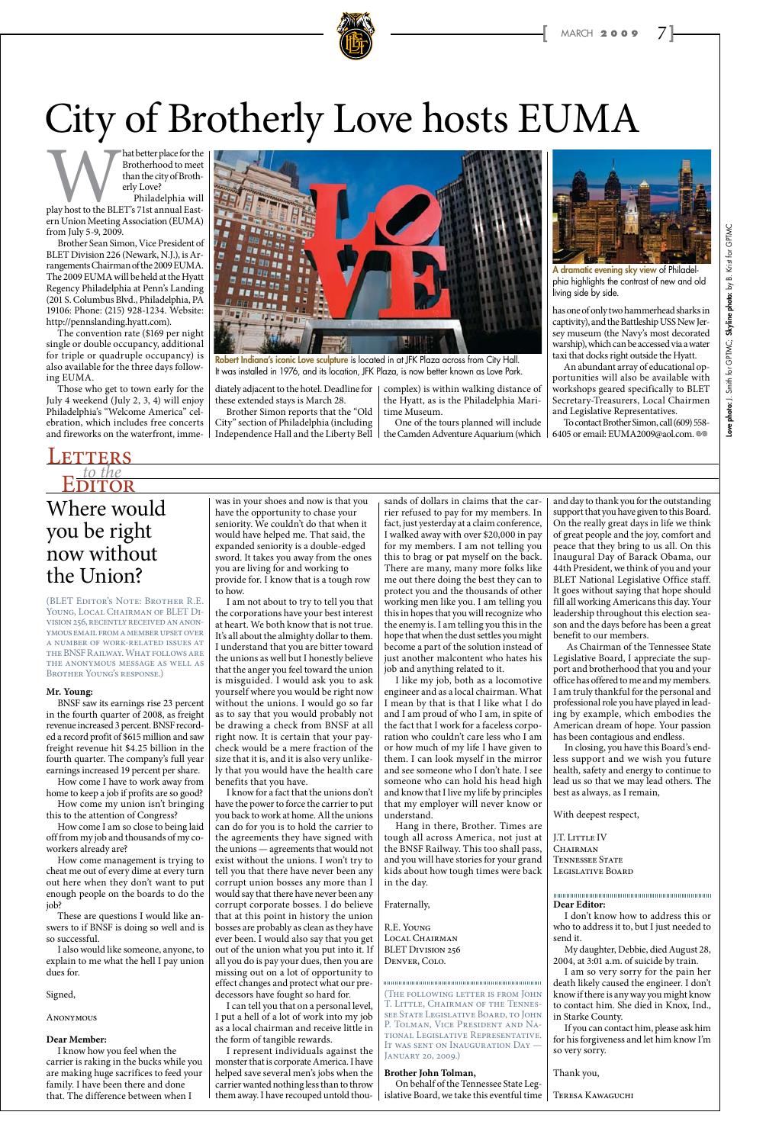Mat better place for the<br>Brotherhood to meet<br>than the city of Brotherly<br>Philadelphia will<br>play host to the BLET's 71st annual East-<br>ern Union Meeting Association (FUMA) Brotherhood to meet than the city of Brotherly Love? Philadelphia will

ern Union Meeting Association (EUMA) from July 5-9, 2009.

Brother Sean Simon, Vice President of BLET Division 226 (Newark, N.J.), is Arrangements Chairman of the 2009 EUMA. The 2009 EUMA will be held at the Hyatt Regency Philadelphia at Penn's Landing (201 S. Columbus Blvd., Philadelphia, PA 19106: Phone: (215) 928-1234. Website: http://pennslanding.hyatt.com).

The convention rate (\$169 per night single or double occupancy, additional for triple or quadruple occupancy) is also available for the three days following EUMA.

Those who get to town early for the July 4 weekend (July 2, 3, 4) will enjoy Philadelphia's "Welcome America" celebration, which includes free concerts and fireworks on the waterfront, imme-

To contact Brother Simon, call (609) 558- 6405 or email: EUMA2009@aol.com. @@

diately adjacent to the hotel. Deadline for these extended stays is March 28.



Robert Indiana's iconic Love sculpture is located in at JFK Plaza across from City Hall. It was installed in 1976, and its location, JFK Plaza, is now better known as Love Park.

Brother Simon reports that the "Old City" section of Philadelphia (including Independence Hall and the Liberty Bell

## Where would you be right now without the Union? **EDITOR**

complex) is within walking distance of the Hyatt, as is the Philadelphia Maritime Museum.

One of the tours planned will include the Camden Adventure Aquarium (which



has one of only two hammerhead sharks in captivity), and the Battleship USS New Jersey museum (the Navy's most decorated warship), which can be accessed via a water taxi that docks right outside the Hyatt.

An abundant array of educational opportunities will also be available with workshops geared specifically to BLET Secretary-Treasurers, Local Chairmen and Legislative Representatives.



# City of Brotherly Love hosts EUMA

A dramatic evening sky view of Philadelphia highlights the contrast of new and old living side by side.

(BLET Editor's Note: Brother R.E. YOUNG, LOCAL CHAIRMAN OF BLET DIvision 256, recently received an anonymous email from a member upset over a number of work-related issues at the BNSF Railway. What follows are the anonymous message as well as Brother Young's response.)

#### **Mr. Young:**

BNSF saw its earnings rise 23 percent in the fourth quarter of 2008, as freight revenue increased 3 percent. BNSF recorded a record profit of \$615 million and saw freight revenue hit \$4.25 billion in the fourth quarter. The company's full year earnings increased 19 percent per share.

How come I have to work away from home to keep a job if profits are so good?

How come my union isn't bringing this to the attention of Congress?

How come I am so close to being laid off from my job and thousands of my co-

workers already are?

How come management is trying to cheat me out of every dime at every turn out here when they don't want to put enough people on the boards to do the job?

These are questions I would like answers to if BNSF is doing so well and is so successful.

I also would like someone, anyone, to explain to me what the hell I pay union dues for.

Signed,

**ANONYMOUS** 

#### **Dear Member:**

I know how you feel when the carrier is raking in the bucks while you are making huge sacrifices to feed your family. I have been there and done that. The difference between when I

(The following letter is from John T. Little, Chairman of the Tennessee State Legislative Board, to John P. Tolman, Vice President and National Legislative Representative. It was sent on Inauguration Day — JANUARY 20, 2009.)

was in your shoes and now is that you have the opportunity to chase your seniority. We couldn't do that when it would have helped me. That said, the expanded seniority is a double-edged sword. It takes you away from the ones you are living for and working to provide for. I know that is a tough row

to how.

I am not about to try to tell you that the corporations have your best interest at heart. We both know that is not true. It's all about the almighty dollar to them. I understand that you are bitter toward the unions as well but I honestly believe that the anger you feel toward the union is misguided. I would ask you to ask yourself where you would be right now without the unions. I would go so far as to say that you would probably not be drawing a check from BNSF at all right now. It is certain that your paycheck would be a mere fraction of the size that it is, and it is also very unlikely that you would have the health care

> CHAIRMAN Tennessee State Legislative Board

## *to the* **TERS**

benefits that you have.

I know for a fact that the unions don't have the power to force the carrier to put you back to work at home. All the unions can do for you is to hold the carrier to

the agreements they have signed with the unions — agreements that would not exist without the unions. I won't try to tell you that there have never been any corrupt union bosses any more than I would say that there have never been any corrupt corporate bosses. I do believe that at this point in history the union bosses are probably as clean as they have ever been. I would also say that you get out of the union what you put into it. If all you do is pay your dues, then you are missing out on a lot of opportunity to effect changes and protect what our predecessors have fought so hard for.

I can tell you that on a personal level, I put a hell of a lot of work into my job as a local chairman and receive little in the form of tangible rewards.

I represent individuals against the monster that is corporate America. I have helped save several men's jobs when the carrier wanted nothing less than to throw them away. I have recouped untold thou-

sands of dollars in claims that the carrier refused to pay for my members. In fact, just yesterday at a claim conference, I walked away with over \$20,000 in pay for my members. I am not telling you this to brag or pat myself on the back. There are many, many more folks like me out there doing the best they can to protect you and the thousands of other working men like you. I am telling you this in hopes that you will recognize who the enemy is. I am telling you this in the hope that when the dust settles you might become a part of the solution instead of just another malcontent who hates his job and anything related to it.

I like my job, both as a locomotive engineer and as a local chairman. What I mean by that is that I like what I do and I am proud of who I am, in spite of the fact that I work for a faceless corporation who couldn't care less who I am or how much of my life I have given to them. I can look myself in the mirror and see someone who I don't hate. I see someone who can hold his head high and know that I live my life by principles that my employer will never know or understand.

Hang in there, Brother. Times are ough all across America, not just at l the BNSF Railway. This too shall pass, and you will have stories for your grand kids about how tough times were back in the day.

Fraternally,

R.E. Young Local Chairman BLET DIVISION 256 Denver, Colo.

#### **Brother John Tolman,**

On behalf of the Tennessee State Legislative Board, we take this eventful time and day to thank you for the outstanding support that you have given to this Board. On the really great days in life we think of great people and the joy, comfort and peace that they bring to us all. On this Inaugural Day of Barack Obama, our 44th President, we think of you and your BLET National Legislative Office staff. It goes without saying that hope should fill all working Americans this day. Your leadership throughout this election season and the days before has been a great benefit to our members.

 As Chairman of the Tennessee State Legislative Board, I appreciate the support and brotherhood that you and your office has offered to me and my members. I am truly thankful for the personal and professional role you have played in leading by example, which embodies the American dream of hope. Your passion has been contagious and endless.

In closing, you have this Board's endless support and we wish you future health, safety and energy to continue to lead us so that we may lead others. The best as always, as I remain,

With deepest respect,

J.T. LITTLE IV

Skyline photo: by B. Krist for GPTMC Love photo: J. Smith for GPTMC; Skyline photo: by B. Krist for GPTMC GPTMC; photo: J. Smith for

#### **Dear Editor:**

I don't know how to address this or who to address it to, but I just needed to send it.

My daughter, Debbie, died August 28, 2004, at 3:01 a.m. of suicide by train.

I am so very sorry for the pain her death likely caused the engineer. I don't know if there is any way you might know to contact him. She died in Knox, Ind., in Starke County.

If you can contact him, please ask him for his forgiveness and let him know I'm so very sorry.

Thank you,

Teresa Kawaguchi